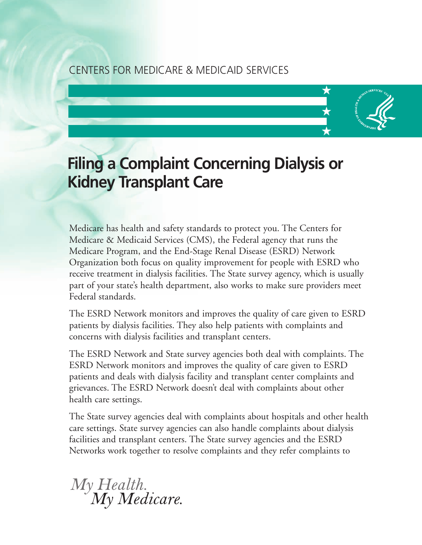### CENTERS FOR MEDICARE & MEDICAID SERVICES

# **Filing a Complaint Concerning Dialysis or Kidney Transplant Care**

**✥**

**✥**

**✥**

Medicare has health and safety standards to protect you. The Centers for Medicare & Medicaid Services (CMS), the Federal agency that runs the Medicare Program, and the End-Stage Renal Disease (ESRD) Network Organization both focus on quality improvement for people with ESRD who receive treatment in dialysis facilities. The State survey agency, which is usually part of your state's health department, also works to make sure providers meet Federal standards.

The ESRD Network monitors and improves the quality of care given to ESRD patients by dialysis facilities. They also help patients with complaints and concerns with dialysis facilities and transplant centers.

The ESRD Network and State survey agencies both deal with complaints. The ESRD Network monitors and improves the quality of care given to ESRD patients and deals with dialysis facility and transplant center complaints and grievances. The ESRD Network doesn't deal with complaints about other health care settings.

The State survey agencies deal with complaints about hospitals and other health care settings. State survey agencies can also handle complaints about dialysis facilities and transplant centers. The State survey agencies and the ESRD Networks work together to resolve complaints and they refer complaints to

My Health.<br>My Medicare.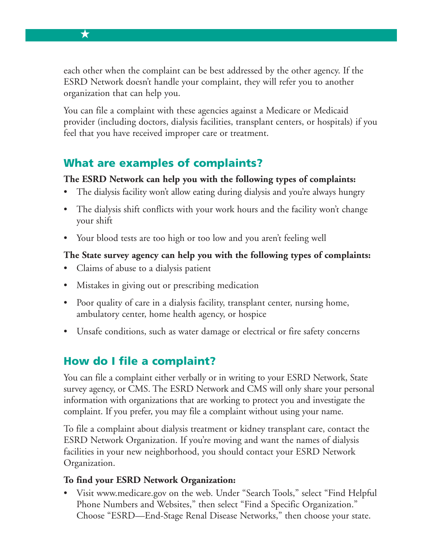each other when the complaint can be best addressed by the other agency. If the ESRD Network doesn't handle your complaint, they will refer you to another organization that can help you.

You can file a complaint with these agencies against a Medicare or Medicaid provider (including doctors, dialysis facilities, transplant centers, or hospitals) if you feel that you have received improper care or treatment.

## **What are examples of complaints?**

#### **The ESRD Network can help you with the following types of complaints:**

- The dialysis facility won't allow eating during dialysis and you're always hungry
- The dialysis shift conflicts with your work hours and the facility won't change your shift
- Your blood tests are too high or too low and you aren't feeling well

#### **The State survey agency can help you with the following types of complaints:**

- Claims of abuse to a dialysis patient
- Mistakes in giving out or prescribing medication
- Poor quality of care in a dialysis facility, transplant center, nursing home, ambulatory center, home health agency, or hospice
- Unsafe conditions, such as water damage or electrical or fire safety concerns

## **How do I file a complaint?**

You can file a complaint either verbally or in writing to your ESRD Network, State survey agency, or CMS. The ESRD Network and CMS will only share your personal information with organizations that are working to protect you and investigate the complaint. If you prefer, you may file a complaint without using your name.

To file a complaint about dialysis treatment or kidney transplant care, contact the ESRD Network Organization. If you're moving and want the names of dialysis facilities in your new neighborhood, you should contact your ESRD Network Organization.

#### **To find your ESRD Network Organization:**

• Visit [www.medicare.gov on](http://www.medicare.gov) the web. Under "Search Tools," select "Find Helpful Phone Numbers and Websites," then select "Find a Specific Organization." Choose "ESRD—End-Stage Renal Disease Networks," then choose your state.

**✥**